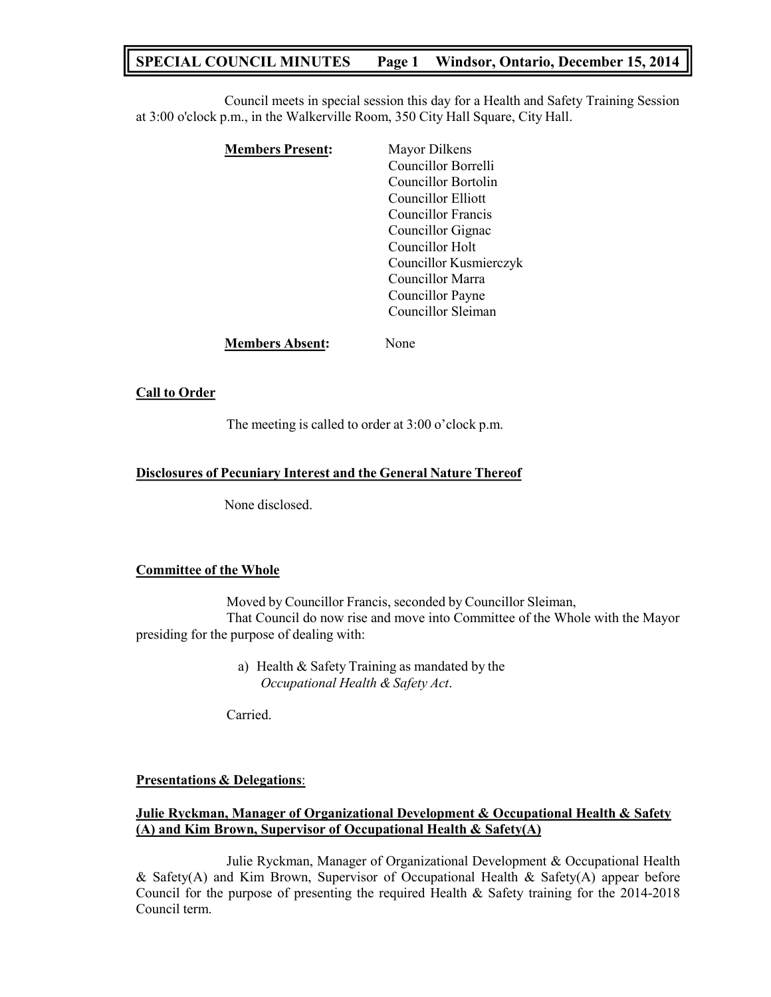# **SPECIAL COUNCIL MINUTES Page 1 Windsor, Ontario, December 15, 2014**

Council meets in special session this day for a Health and Safety Training Session at 3:00 o'clock p.m., in the Walkerville Room, 350 City Hall Square, City Hall.

| <b>Members Present:</b> | Mayor Dilkens          |
|-------------------------|------------------------|
|                         | Councillor Borrelli    |
|                         | Councillor Bortolin    |
|                         | Councillor Elliott     |
|                         | Councillor Francis     |
|                         | Councillor Gignac      |
|                         | Councillor Holt        |
|                         | Councillor Kusmierczyk |
|                         | Councillor Marra       |
|                         | Councillor Payne       |
|                         | Councillor Sleiman     |
| <b>Members Absent:</b>  | None                   |

## **Call to Order**

The meeting is called to order at 3:00 o'clock p.m.

### **Disclosures of Pecuniary Interest and the General Nature Thereof**

None disclosed.

#### **Committee of the Whole**

Moved by Councillor Francis, seconded by Councillor Sleiman, That Council do now rise and move into Committee of the Whole with the Mayor presiding for the purpose of dealing with:

> a) Health & Safety Training as mandated by the *Occupational Health & Safety Act*.

Carried.

#### **Presentations & Delegations**:

## **Julie Ryckman, Manager of Organizational Development & Occupational Health & Safety (A) and Kim Brown, Supervisor of Occupational Health & Safety(A)**

Julie Ryckman, Manager of Organizational Development & Occupational Health & Safety(A) and Kim Brown, Supervisor of Occupational Health & Safety(A) appear before Council for the purpose of presenting the required Health & Safety training for the 2014-2018 Council term.